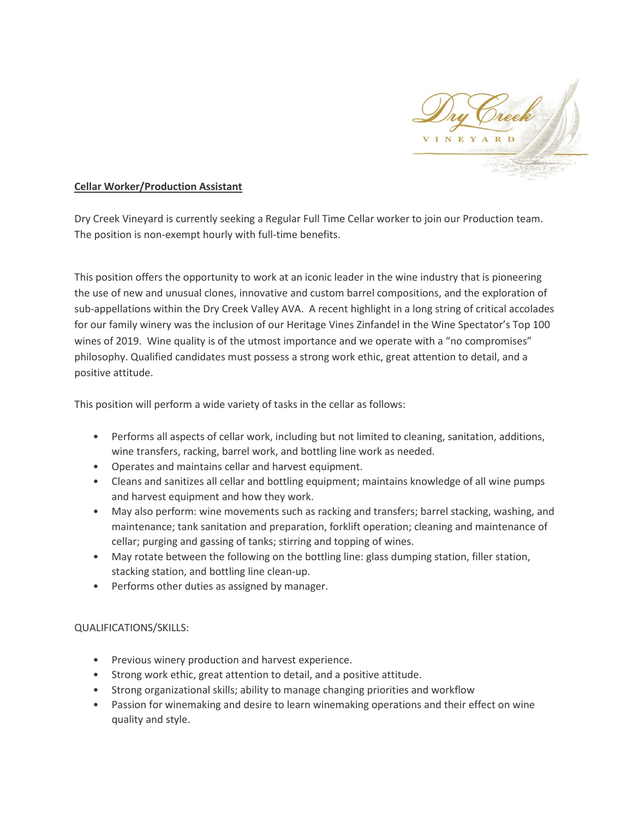

## **Cellar Worker/Production Assistant**

Dry Creek Vineyard is currently seeking a Regular Full Time Cellar worker to join our Production team. The position is non-exempt hourly with full-time benefits.

This position offers the opportunity to work at an iconic leader in the wine industry that is pioneering the use of new and unusual clones, innovative and custom barrel compositions, and the exploration of sub-appellations within the Dry Creek Valley AVA. A recent highlight in a long string of critical accolades for our family winery was the inclusion of our Heritage Vines Zinfandel in the Wine Spectator's Top 100 wines of 2019. Wine quality is of the utmost importance and we operate with a "no compromises" philosophy. Qualified candidates must possess a strong work ethic, great attention to detail, and a positive attitude.

This position will perform a wide variety of tasks in the cellar as follows:

- Performs all aspects of cellar work, including but not limited to cleaning, sanitation, additions, wine transfers, racking, barrel work, and bottling line work as needed.
- Operates and maintains cellar and harvest equipment.
- Cleans and sanitizes all cellar and bottling equipment; maintains knowledge of all wine pumps and harvest equipment and how they work.
- May also perform: wine movements such as racking and transfers; barrel stacking, washing, and maintenance; tank sanitation and preparation, forklift operation; cleaning and maintenance of cellar; purging and gassing of tanks; stirring and topping of wines.
- May rotate between the following on the bottling line: glass dumping station, filler station, stacking station, and bottling line clean-up.
- Performs other duties as assigned by manager.

## QUALIFICATIONS/SKILLS:

- Previous winery production and harvest experience.
- Strong work ethic, great attention to detail, and a positive attitude.
- Strong organizational skills; ability to manage changing priorities and workflow
- Passion for winemaking and desire to learn winemaking operations and their effect on wine quality and style.